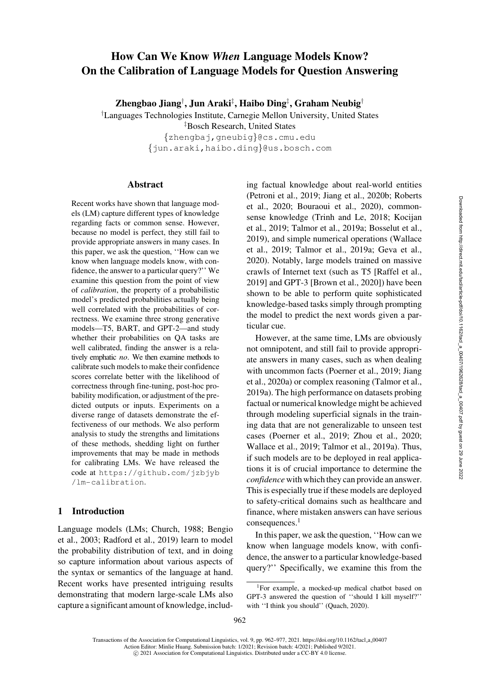# How Can We Know *When* Language Models Know? On the Calibration of Language Models for Question Answering

Zhengbao Jiang†, Jun Araki‡, Haibo Ding‡, Graham Neubig†

† Languages Technologies Institute, Carnegie Mellon University, United States

‡ Bosch Research, United States

{[zhengbaj](mailto:zhengbaj@cs.cmu.edu)[,gneubig](mailto:gneubig@cs.cmu.edu)}@cs.cmu.edu {[jun.araki](mailto:jun.araki@us.bosch.com)[,haibo.ding](mailto:haibo.ding@us.bosch.com)}@us.bosch.com

#### Abstract

Recent works have shown that language models (LM) capture different types of knowledge regarding facts or common sense. However, because no model is perfect, they still fail to provide appropriate answers in many cases. In this paper, we ask the question, ''How can we know when language models know, with confidence, the answer to a particular query?'' We examine this question from the point of view of *calibration*, the property of a probabilistic model's predicted probabilities actually being well correlated with the probabilities of correctness. We examine three strong generative models—T5, BART, and GPT-2—and study whether their probabilities on QA tasks are well calibrated, finding the answer is a relatively emphatic *no*. We then examine methods to calibrate such models to make their confidence scores correlate better with the likelihood of correctness through fine-tuning, post-hoc probability modification, or adjustment of the predicted outputs or inputs. Experiments on a diverse range of datasets demonstrate the effectiveness of our methods. We also perform analysis to study the strengths and limitations of these methods, shedding light on further improvements that may be made in methods for calibrating LMs. We have released the code at [https://github.com/jzbjyb](https://github.com/jzbjyb/lm-calibration) [/lm-calibration](https://github.com/jzbjyb/lm-calibration).

# 1 Introduction

Lan[guage](#page-10-0) [models](#page-10-0) [\(LMs;](#page-10-0) [Church](#page-11-0)[,](#page-10-0) [1988](#page-11-0)[;](#page-10-0) Bengio et al., [2003](#page-10-0); [Radford et al.](#page-14-0), [2019](#page-14-0)) learn to model the probability distribution of text, and in doing so capture information about various aspects of the syntax or semantics of the language at hand. Recent works have presented intriguing results demonstrating that modern large-scale LMs also capture a significant amount of knowledge, including factual knowledge about real-world entities [\(Petroni et al.](#page-13-0)[,](#page-14-1) [2019](#page-13-0)[;](#page-14-1) [Jiang et al.](#page-12-0)[,](#page-14-1) [2020b](#page-12-0)[;](#page-14-1) Roberts et al., [2020;](#page-14-1) [Bouraoui et al.](#page-10-1), [2020](#page-10-1)), commonsense knowledge [\(Trinh and Le, 2018](#page-15-0); Kocijan et al., [2019](#page-12-1); [Talmor et al., 2019a;](#page-14-2) [Bosselut et al.,](#page-10-2) [2019](#page-10-2)), and simple numerical operations (Wallace et al., [2019](#page-15-1); [Talmor et al., 2019a](#page-14-2); [Geva et al.,](#page-11-1) [2020](#page-11-1)). Notably, large models trained on massive crawls of Internet text (such as T5 [\[Raffel et al.,](#page-14-3) [2019](#page-14-3)] and GPT-3 [\[Brown et al.](#page-10-3), [2020](#page-10-3)]) have been shown to be able to perform quite sophisticated knowledge-based tasks simply through prompting the model to predict the next words given a particular cue.

However, at the same time, LMs are obviously not omnipotent, and still fail to provide appropriate answers in many cases, such as when dealing with [uncommon facts](#page-12-2) [\(Poerner et al., 2019](#page-14-4)[;](#page-12-2) Jiang et al., [2020a](#page-12-2)) or complex reasoning [\(Talmor et al.,](#page-14-2) [2019a](#page-14-2)). The high performance on datasets probing factual or numerical knowledge might be achieved through modeling superficial signals in the training data that are not generalizable to unseen test cases [\(Poerner et al.](#page-14-4), [2019](#page-14-4); [Zhou et al., 2020](#page-15-2); [Wallace et al., 2019;](#page-15-1) [Talmor et al., 2019a](#page-14-2)). Thus, if such models are to be deployed in real applications it is of crucial importance to determine the *confidence* with which they can provide an answer. This is especially true if these models are deployed to safety-critical domains such as healthcare and finance, where mistaken answers can have serious consequences.<sup>1</sup>

In this paper, we ask the question, ''How can we know when language models know, with confidence, the answer to a particular knowledge-based query?'' Specifically, we examine this from the

<span id="page-0-0"></span><sup>1</sup>For example, a mocked-up medical chatbot based on GPT-3 answered the question of ''should I kill myself?'' with "I think you should" [\(Quach](#page-14-5), [2020\)](#page-14-5).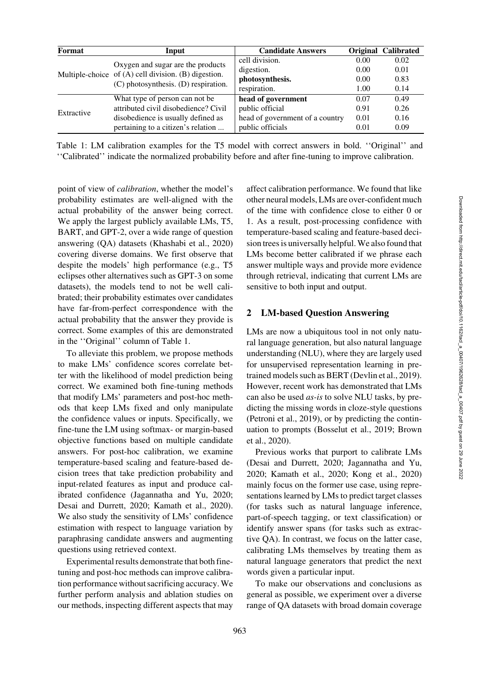| Format     | Input                                                                                                                             | <b>Candidate Answers</b>        |      | <b>Original Calibrated</b> |
|------------|-----------------------------------------------------------------------------------------------------------------------------------|---------------------------------|------|----------------------------|
|            | Oxygen and sugar are the products<br>Multiple-choice of (A) cell division. (B) digestion.<br>(C) photosynthesis. (D) respiration. | cell division.                  | 0.00 | 0.02                       |
|            |                                                                                                                                   | digestion.                      | 0.00 | 0.01                       |
|            |                                                                                                                                   | photosynthesis.                 | 0.00 | 0.83                       |
|            |                                                                                                                                   | respiration.                    | 1.00 | 0.14                       |
| Extractive | What type of person can not be                                                                                                    | head of government              | 0.07 | 0.49                       |
|            | attributed civil disobedience? Civil                                                                                              | public official                 | 0.91 | 0.26                       |
|            | disobedience is usually defined as                                                                                                | head of government of a country | 0.01 | 0.16                       |
|            | pertaining to a citizen's relation                                                                                                | public officials                | 0.01 | 0.09                       |

<span id="page-1-0"></span>Table 1: LM calibration examples for the T5 model with correct answers in bold. ''Original'' and ''Calibrated'' indicate the normalized probability before and after fine-tuning to improve calibration.

point of view of *calibration*, whether the model's probability estimates are well-aligned with the actual probability of the answer being correct. We apply the largest publicly available LMs, T5, BART, and GPT-2, over a wide range of question answering (QA) datasets [\(Khashabi et al.](#page-12-3), [2020\)](#page-12-3) covering diverse domains. We first observe that despite the models' high performance (e.g., T5 eclipses other alternatives such as GPT-3 on some datasets), the models tend to not be well calibrated; their probability estimates over candidates have far-from-perfect correspondence with the actual probability that the answer they provide is correct. Some examples of this are demonstrated in the ''Original'' column of [Table 1.](#page-1-0)

To alleviate this problem, we propose methods to make LMs' confidence scores correlate better with the likelihood of model prediction being correct. We examined both fine-tuning methods that modify LMs' parameters and post-hoc methods that keep LMs fixed and only manipulate the confidence values or inputs. Specifically, we fine-tune the LM using softmax- or margin-based objective functions based on multiple candidate answers. For post-hoc calibration, we examine temperature-based scaling and feature-based decision trees that take prediction probability and input-related features as input and produce calibrated confidence [\(Jagannatha and Yu](#page-12-4), [2020](#page-12-4); [Desai and Durrett](#page-11-2), [2020;](#page-11-2) [Kamath et al.](#page-12-5), [2020\)](#page-12-5). We also study the sensitivity of LMs' confidence estimation with respect to language variation by paraphrasing candidate answers and augmenting questions using retrieved context.

Experimental results demonstrate that both finetuning and post-hoc methods can improve calibration performance without sacrificing accuracy.We further perform analysis and ablation studies on our methods, inspecting different aspects that may

affect calibration performance. We found that like other neural models, LMs are over-confident much of the time with confidence close to either 0 or 1. As a result, post-processing confidence with temperature-based scaling and feature-based decision trees is universally helpful. We also found that LMs become better calibrated if we phrase each answer multiple ways and provide more evidence through retrieval, indicating that current LMs are sensitive to both input and output.

### 2 LM-based Question Answering

LMs are now a ubiquitous tool in not only natural language generation, but also natural language understanding (NLU), where they are largely used for unsupervised representation learning in pretrained models such as BERT [\(Devlin et al.](#page-11-3), [2019](#page-11-3)). However, recent work has demonstrated that LMs can also be used *as-is* to solve NLU tasks, by predicting the missing words in cloze-style questions [\(Petroni et al.](#page-13-0), [2019\)](#page-13-0), or by predicting the continuation to prompts [\(Bosselut et al., 2019;](#page-10-2) Brown et al., [2020](#page-10-3)).

Previous works that purport to calibrate LMs [\(Desai and Durrett, 2020;](#page-11-2) [Jagannatha and Yu,](#page-12-4) [2020](#page-12-4); [Kamath et al., 2020;](#page-12-5) [Kong et al.](#page-12-6), [2020\)](#page-12-6) mainly focus on the former use case, using representations learned by LMs to predict target classes (for tasks such as natural language inference, part-of-speech tagging, or text classification) or identify answer spans (for tasks such as extractive QA). In contrast, we focus on the latter case, calibrating LMs themselves by treating them as natural language generators that predict the next words given a particular input.

To make our observations and conclusions as general as possible, we experiment over a diverse range of QA datasets with broad domain coverage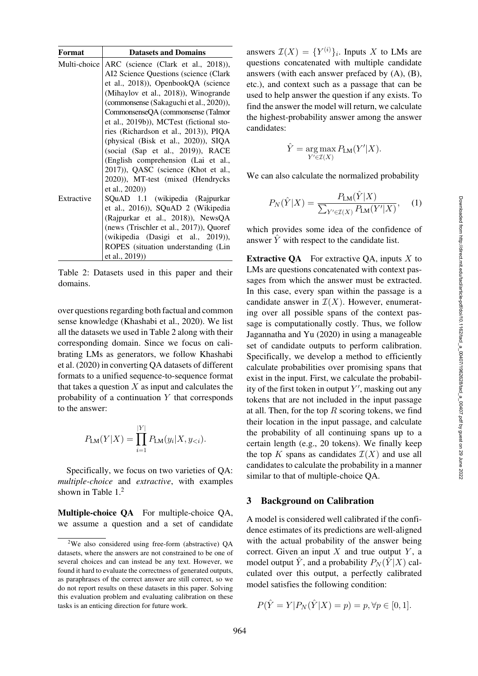| Format       | <b>Datasets and Domains</b>             |
|--------------|-----------------------------------------|
| Multi-choice | ARC (science (Clark et al., 2018)),     |
|              | AI2 Science Questions (science (Clark   |
|              | et al., 2018)), OpenbookQA (science     |
|              | (Mihaylov et al., 2018)), Winogrande    |
|              | (commonsense (Sakaguchi et al., 2020)), |
|              | CommonsenseQA (commonsense (Talmor      |
|              | et al., 2019b)), MCTest (fictional sto- |
|              | ries (Richardson et al., 2013)), PIQA   |
|              | (physical (Bisk et al., 2020)), SIQA    |
|              | (social (Sap et al., 2019)), RACE       |
|              | (English comprehension (Lai et al.,     |
|              | 2017)), QASC (science (Khot et al.,     |
|              | 2020)), MT-test (mixed (Hendrycks       |
|              | et al., 2020)                           |
| Extractive   | SQuAD 1.1 (wikipedia (Rajpurkar         |
|              | et al., 2016)), SQuAD 2 (Wikipedia      |
|              | (Rajpurkar et al., 2018)), NewsQA       |
|              | (news (Trischler et al., 2017)), Quoref |
|              | (wikipedia (Dasigi et al., 2019)),      |
|              | ROPES (situation understanding (Lin     |
|              | et al., 2019))                          |

<span id="page-2-0"></span>Table 2: Datasets used in this paper and their domains.

over questions regarding both factual and common sense knowledge [\(Khashabi et al., 2020\)](#page-12-3). We list all the datasets we used in [Table 2](#page-2-0) along with their corresponding domain. Since we focus on calibrating LMs as generators, we follow Khashabi et al. [\(2020\)](#page-12-3) in converting QA datasets of different formats to a unified sequence-to-sequence format that takes a question  $X$  as input and calculates the probability of a continuation  $Y$  that corresponds to the answer:

$$
P_{LM}(Y|X) = \prod_{i=1}^{|Y|} P_{LM}(y_i|X, y_{< i}).
$$

Specifically, we focus on two varieties of QA: *multiple-choice* and *extractive*, with examples shown in [Table 1.](#page-1-0)<sup>[2](#page-2-1)</sup>

Multiple-choice QA For multiple-choice QA, we assume a question and a set of candidate

answers  $\mathcal{I}(X) = \{Y^{(i)}\}_i$ . Inputs X to LMs are questions concatenated with multiple candidate answers (with each answer prefaced by (A), (B), etc.), and context such as a passage that can be used to help answer the question if any exists. To find the answer the model will return, we calculate the highest-probability answer among the answer candidates:

$$
\hat{Y} = \underset{Y' \in \mathcal{I}(X)}{\arg \max} P_{\text{LM}}(Y'|X).
$$

We can also calculate the normalized probability

$$
P_N(\hat{Y}|X) = \frac{P_{\text{LM}}(\hat{Y}|X)}{\sum_{Y' \in \mathcal{I}(X)} P_{\text{LM}}(Y'|X)},\quad(1)
$$

which provides some idea of the confidence of answer  $\overline{Y}$  with respect to the candidate list.

**Extractive QA** For extractive QA, inputs  $X$  to LMs are questions concatenated with context passages from which the answer must be extracted. In this case, every span within the passage is a candidate answer in  $\mathcal{I}(X)$ . However, enumerating over all possible spans of the context passage is computationally costly. Thus, we follow [Jagannatha and Yu](#page-12-4) [\(2020](#page-12-4)) in using a manageable set of candidate outputs to perform calibration. Specifically, we develop a method to efficiently calculate probabilities over promising spans that exist in the input. First, we calculate the probability of the first token in output  $Y'$ , masking out any tokens that are not included in the input passage at all. Then, for the top  $R$  scoring tokens, we find their location in the input passage, and calculate the probability of all continuing spans up to a certain length (e.g., 20 tokens). We finally keep the top K spans as candidates  $\mathcal{I}(X)$  and use all candidates to calculate the probability in a manner similar to that of multiple-choice QA.

#### 3 Background on Calibration

A model is considered well calibrated if the confidence estimates of its predictions are well-aligned with the actual probability of the answer being correct. Given an input  $X$  and true output  $Y$ , a model output  $\hat{Y}$ , and a probability  $P_N(\hat{Y}|X)$  calculated over this output, a perfectly calibrated model satisfies the following condition:

$$
P(\hat{Y} = Y | P_N(\hat{Y} | X) = p) = p, \forall p \in [0, 1].
$$

<span id="page-2-1"></span><sup>2</sup>We also considered using free-form (abstractive) QA datasets, where the answers are not constrained to be one of several choices and can instead be any text. However, we found it hard to evaluate the correctness of generated outputs, as paraphrases of the correct answer are still correct, so we do not report results on these datasets in this paper. Solving this evaluation problem and evaluating calibration on these tasks is an enticing direction for future work.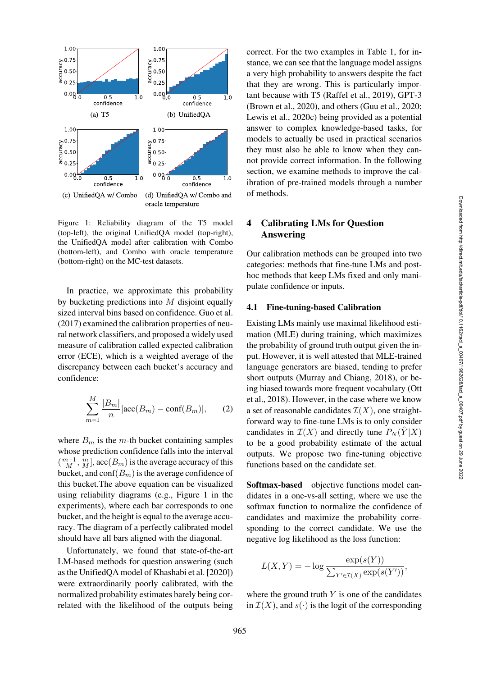

<span id="page-3-0"></span>Figure 1: Reliability diagram of the T5 model (top-left), the original UnifiedQA model (top-right), the UnifiedQA model after calibration with Combo (bottom-left), and Combo with oracle temperature (bottom-right) on the MC-test datasets.

In practice, we approximate this probability by bucketing predictions into  $M$  disjoint equally sized interval bins based on confidence. [Guo et al.](#page-11-6) [\(2017\)](#page-11-6) examined the calibration properties of neural network classifiers, and proposed a widely used measure of calibration called expected calibration error (ECE), which is a weighted average of the discrepancy between each bucket's accuracy and confidence:

$$
\sum_{m=1}^{M} \frac{|B_m|}{n} |\text{acc}(B_m) - \text{conf}(B_m)|, \qquad (2)
$$

where  $B_m$  is the m-th bucket containing samples whose prediction confidence falls into the interval  $(\frac{m-1}{M}, \frac{m}{M}]$ , acc $(B_m)$  is the average accuracy of this bucket, and conf $(B_m)$  is the average confidence of this bucket.The above equation can be visualized using reliability diagrams (e.g., [Figure 1](#page-3-0) in the experiments), where each bar corresponds to one bucket, and the height is equal to the average accuracy. The diagram of a perfectly calibrated model should have all bars aligned with the diagonal.

Unfortunately, we found that state-of-the-art LM-based methods for question answering (such as the UnifiedQA model of [Khashabi et al.](#page-12-3) [\[2020\]](#page-12-3)) were extraordinarily poorly calibrated, with the normalized probability estimates barely being correlated with the likelihood of the outputs being correct. For the two examples in [Table 1,](#page-1-0) for instance, we can see that the language model assigns a very high probability to answers despite the fact that they are wrong. This is particularly important because with T5 [\(Raffel et al.](#page-14-3), [2019](#page-14-3)), GPT-3 [\(Brown et al., 2020\)](#page-10-3), and others [\(Guu et al.](#page-11-7), [2020](#page-11-7); [Lewis et al., 2020c](#page-13-3)) being provided as a potential answer to complex knowledge-based tasks, for models to actually be used in practical scenarios they must also be able to know when they cannot provide correct information. In the following section, we examine methods to improve the calibration of pre-trained models through a number of methods.

# 4 Calibrating LMs for Question Answering

Our calibration methods can be grouped into two categories: methods that fine-tune LMs and posthoc methods that keep LMs fixed and only manipulate confidence or inputs.

#### 4.1 Fine-tuning-based Calibration

Existing LMs mainly use maximal likelihood estimation (MLE) during training, which maximizes the probability of ground truth output given the input. However, it is well attested that MLE-trained language generators are biased, tending to prefer short outputs [\(Murray and Chiang](#page-13-4), [2018\)](#page-13-4), or being biased towards more frequent vocabulary (Ott et al., [2018](#page-13-5)). However, in the case where we know a set of reasonable candidates  $\mathcal{I}(X)$ , one straightforward way to fine-tune LMs is to only consider candidates in  $\mathcal{I}(X)$  and directly tune  $P_N(Y|X)$ to be a good probability estimate of the actual outputs. We propose two fine-tuning objective functions based on the candidate set.

Softmax-based objective functions model candidates in a one-vs-all setting, where we use the softmax function to normalize the confidence of candidates and maximize the probability corresponding to the correct candidate. We use the negative log likelihood as the loss function:

$$
L(X,Y) = -\log \frac{\exp(s(Y))}{\sum_{Y' \in \mathcal{I}(X)} \exp(s(Y'))},
$$

where the ground truth  $Y$  is one of the candidates in  $\mathcal{I}(X)$ , and  $s(\cdot)$  is the logit of the corresponding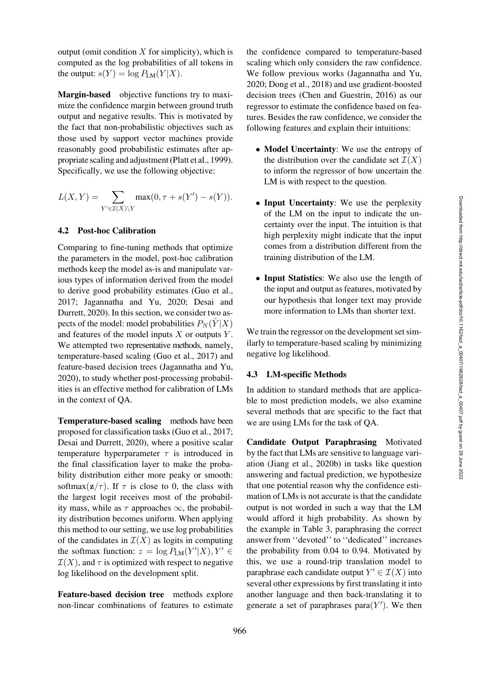output (omit condition  $X$  for simplicity), which is computed as the log probabilities of all tokens in the output:  $s(Y) = \log P_{LM}(Y|X)$ .

Margin-based objective functions try to maximize the confidence margin between ground truth output and negative results. This is motivated by the fact that non-probabilistic objectives such as those used by support vector machines provide reasonably good probabilistic estimates after appropriate scaling and adjustment [\(Platt et al.,](#page-14-11) [1999\)](#page-14-11). Specifically, we use the following objective:

$$
L(X,Y) = \sum_{Y' \in \mathcal{I}(X) \backslash Y} \max(0, \tau + s(Y') - s(Y)).
$$

#### 4.2 Post-hoc Calibration

Comparing to fine-tuning methods that optimize the parameters in the model, post-hoc calibration methods keep the model as-is and manipulate various types of information derived from the model to derive good probability estimates [\(Guo et al.,](#page-11-6) [2017](#page-11-6); [Jagannatha and Yu](#page-12-4), [2020;](#page-12-4) Desai and Durrett, [2020\)](#page-11-2). In this section, we consider two aspects of the model: model probabilities  $P_N(Y|X)$ and features of the model inputs  $X$  or outputs  $Y$ . We attempted two representative methods, namely, temperature-based scaling [\(Guo et al.](#page-11-6), [2017](#page-11-6)) and feature-based decision trees [\(Jagannatha and Yu,](#page-12-4) [2020\)](#page-12-4), to study whether post-processing probabilities is an effective method for calibration of LMs in the context of QA.

Temperature-based scaling methods have been proposed for classification tasks [\(Guo et al.](#page-11-6), [2017](#page-11-6); [Desai and Durrett](#page-11-2), [2020\)](#page-11-2), where a positive scalar temperature hyperparameter  $\tau$  is introduced in the final classification layer to make the probability distribution either more peaky or smooth: softmax( $z/\tau$ ). If  $\tau$  is close to 0, the class with the largest logit receives most of the probability mass, while as  $\tau$  approaches  $\infty$ , the probability distribution becomes uniform. When applying this method to our setting, we use log probabilities of the candidates in  $\mathcal{I}(X)$  as logits in computing the softmax function:  $z = \log P_{LM}(Y'|X), Y' \in$  $\mathcal{I}(X)$ , and  $\tau$  is optimized with respect to negative log likelihood on the development split.

Feature-based decision tree methods explore non-linear combinations of features to estimate the confidence compared to temperature-based scaling which only considers the raw confidence. We follow previous works [\(Jagannatha and Yu,](#page-12-4) [2020](#page-12-4); [Dong et al., 2018](#page-11-8)) and use gradient-boosted decision trees [\(Chen and Guestrin](#page-11-9), [2016](#page-11-9)) as our regressor to estimate the confidence based on features. Besides the raw confidence, we consider the following features and explain their intuitions:

- Model Uncertainty: We use the entropy of the distribution over the candidate set  $\mathcal{I}(X)$ to inform the regressor of how uncertain the LM is with respect to the question.
- Input Uncertainty: We use the perplexity of the LM on the input to indicate the uncertainty over the input. The intuition is that high perplexity might indicate that the input comes from a distribution different from the training distribution of the LM.
- Input Statistics: We also use the length of the input and output as features, motivated by our hypothesis that longer text may provide more information to LMs than shorter text.

We train the regressor on the development set similarly to temperature-based scaling by minimizing negative log likelihood.

# 4.3 LM-specific Methods

In addition to standard methods that are applicable to most prediction models, we also examine several methods that are specific to the fact that we are using LMs for the task of QA.

Candidate Output Paraphrasing Motivated by the fact that LMs are sensitive to language variation [\(Jiang et al., 2020b](#page-12-0)) in tasks like question answering and factual prediction, we hypothesize that one potential reason why the confidence estimation of LMs is not accurate is that the candidate output is not worded in such a way that the LM would afford it high probability. As shown by the example in [Table 3,](#page-5-0) paraphrasing the correct answer from ''devoted'' to ''dedicated'' increases the probability from 0.04 to 0.94. Motivated by this, we use a round-trip translation model to paraphrase each candidate output  $Y' \in \mathcal{I}(X)$  into several other expressions by first translating it into another language and then back-translating it to generate a set of paraphrases para $(Y')$ . We then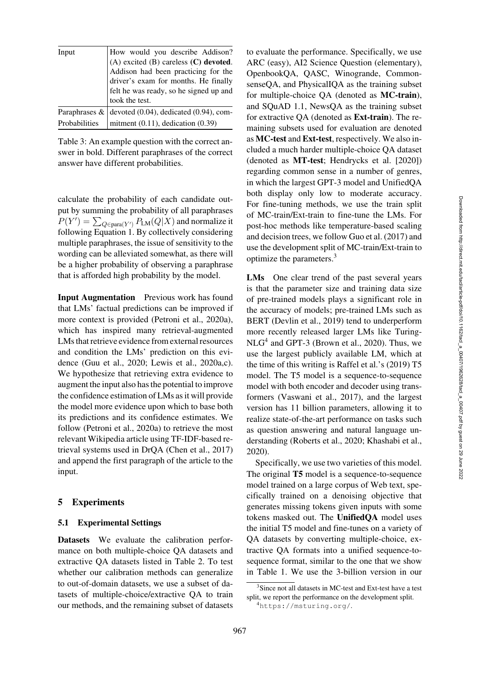| Input         | How would you describe Addison?                         |
|---------------|---------------------------------------------------------|
|               | $(A)$ excited $(B)$ careless $(C)$ devoted.             |
|               | Addison had been practicing for the                     |
|               | driver's exam for months. He finally                    |
|               | felt he was ready, so he signed up and                  |
|               | took the test.                                          |
|               | Paraphrases $\&$ devoted (0.04), dedicated (0.94), com- |
| Probabilities | mitment $(0.11)$ , dedication $(0.39)$                  |

<span id="page-5-0"></span>Table 3: An example question with the correct answer in bold. Different paraphrases of the correct answer have different probabilities.

calculate the probability of each candidate output by summing the probability of all paraphrases  $P(Y') = \sum_{Q \in \text{para}(Y')} P_{\text{LM}}(Q|X)$  and normalize it following Equation 1. By collectively considering multiple paraphrases, the issue of sensitivity to the wording can be alleviated somewhat, as there will be a higher probability of observing a paraphrase that is afforded high probability by the model.

Input Augmentation Previous work has found that LMs' factual predictions can be improved if more context is provided [\(Petroni et al.](#page-13-6), [2020a\)](#page-13-6), which has inspired many retrieval-augmented LMs that retrieve evidence from external resources and condition the LMs' prediction on this evidence [\(Guu et al., 2020;](#page-11-7) [Lewis et al.](#page-13-7), [2020a](#page-13-7)[,c\)](#page-13-3). We hypothesize that retrieving extra evidence to augment the input also has the potential to improve the confidence estimation of LMs as it will provide the model more evidence upon which to base both its predictions and its confidence estimates. We follow [\(Petroni et al.](#page-13-6), [2020a](#page-13-6)) to retrieve the most relevant Wikipedia article using TF-IDF-based retrieval systems used in DrQA [\(Chen et al., 2017\)](#page-11-10) and append the first paragraph of the article to the input.

#### 5 Experiments

#### 5.1 Experimental Settings

Datasets We evaluate the calibration performance on both multiple-choice QA datasets and extractive QA datasets listed in [Table 2.](#page-2-0) To test whether our calibration methods can generalize to out-of-domain datasets, we use a subset of datasets of multiple-choice/extractive QA to train our methods, and the remaining subset of datasets to evaluate the performance. Specifically, we use ARC (easy), AI2 Science Question (elementary), OpenbookQA, QASC, Winogrande, CommonsenseQA, and PhysicalIQA as the training subset for multiple-choice QA (denoted as MC-train), and SQuAD 1.1, NewsQA as the training subset for extractive QA (denoted as Ext-train). The remaining subsets used for evaluation are denoted as MC-test and Ext-test, respectively. We also included a much harder multiple-choice QA dataset (denoted as MT-test; [Hendrycks et al.](#page-12-9) [\[2020](#page-12-9)]) regarding common sense in a number of genres, in which the largest GPT-3 model and UnifiedQA both display only low to moderate accuracy. For fine-tuning methods, we use the train split of MC-train/Ext-train to fine-tune the LMs. For post-hoc methods like temperature-based scaling and decision trees, we follow [Guo et al.](#page-11-6) [\(2017](#page-11-6)) and use the development split of MC-train/Ext-train to optimize the parameters.[3](#page-5-1)

LMs One clear trend of the past several years is that the parameter size and training data size of pre-trained models plays a significant role in the accuracy of models; pre-trained LMs such as BERT [\(Devlin et al., 2019\)](#page-11-3) tend to underperform more recently released larger LMs like Turing- $NLG<sup>4</sup>$  and GPT-3 [\(Brown et al., 2020](#page-10-3)). Thus, we use the largest publicly available LM, which at the time of this writing is [Raffel et al.'](#page-14-3)s [\(2019](#page-14-3)) T5 model. The T5 model is a sequence-to-sequence model with both encoder and decoder using transformers [\(Vaswani et al., 2017](#page-15-5)), and the largest version has 11 billion parameters, allowing it to realize state-of-the-art performance on tasks such as question answering and natural language understanding [\(Roberts et al., 2020](#page-14-1); [Khashabi et al.,](#page-12-3) [2020](#page-12-3)).

Specifically, we use two varieties of this model. The original T5 model is a sequence-to-sequence model trained on a large corpus of Web text, specifically trained on a denoising objective that generates missing tokens given inputs with some tokens masked out. The UnifiedQA model uses the initial T5 model and fine-tunes on a variety of QA datasets by converting multiple-choice, extractive QA formats into a unified sequence-tosequence format, similar to the one that we show in [Table 1.](#page-1-0) We use the 3-billion version in our

<sup>3</sup>Since not all datasets in MC-test and Ext-test have a test split, we report the performance on the development split.

<span id="page-5-2"></span><span id="page-5-1"></span><sup>4</sup><https://msturing.org/>.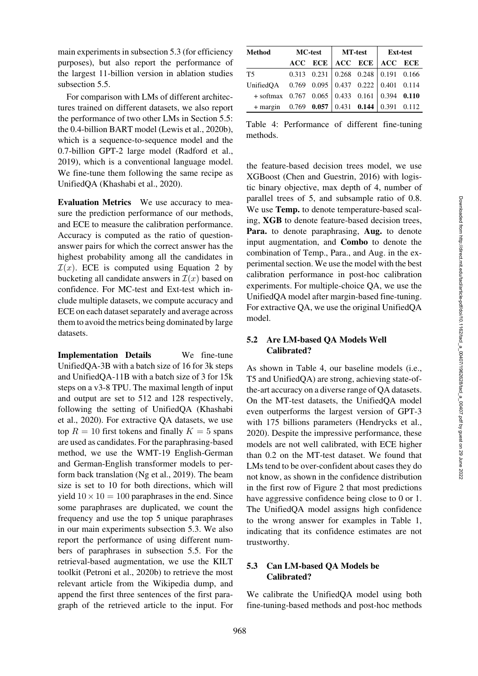main experiments in subsection [5.3](#page-6-0) (for efficiency purposes), but also report the performance of the largest 11-billion version in ablation studies subsection [5.5.](#page-8-0)

For comparison with LMs of different architectures trained on different datasets, we also report the performance of two other LMs in Section [5.5:](#page-8-1) the 0.4-billion BART model [\(Lewis et al.](#page-13-8), [2020b\)](#page-13-8), which is a sequence-to-sequence model and the 0.7-billion GPT-2 large model [\(Radford et al.,](#page-14-0) [2019](#page-14-0)), which is a conventional language model. We fine-tune them following the same recipe as UnifiedQA [\(Khashabi et al., 2020](#page-12-3)).

Evaluation Metrics We use accuracy to measure the prediction performance of our methods, and ECE to measure the calibration performance. Accuracy is computed as the ratio of questionanswer pairs for which the correct answer has the highest probability among all the candidates in  $\mathcal{I}(x)$ . ECE is computed using Equation 2 by bucketing all candidate answers in  $\mathcal{I}(x)$  based on confidence. For MC-test and Ext-test which include multiple datasets, we compute accuracy and ECE on each dataset separately and average across them to avoid the metrics being dominated by large datasets.

Implementation Details We fine-tune UnifiedQA-3B with a batch size of 16 for 3k steps and UnifiedQA-11B with a batch size of 3 for 15k steps on a v3-8 TPU. The maximal length of input and output are set to 512 and 128 respectively, following the setting of UnifiedQA (Khashabi et al., [2020\)](#page-12-3). For extractive QA datasets, we use top  $R = 10$  first tokens and finally  $K = 5$  spans are used as candidates. For the paraphrasing-based method, we use the WMT-19 English-German and German-English transformer models to perform back translation [\(Ng et al., 2019](#page-13-9)). The beam size is set to 10 for both directions, which will yield  $10 \times 10 = 100$  paraphrases in the end. Since some paraphrases are duplicated, we count the frequency and use the top 5 unique paraphrases in our main experiments subsection [5.3.](#page-6-0) We also report the performance of using different numbers of paraphrases in subsection [5.5.](#page-8-0) For the retrieval-based augmentation, we use the KILT toolkit [\(Petroni et al.](#page-13-10), [2020b](#page-13-10)) to retrieve the most relevant article from the Wikipedia dump, and append the first three sentences of the first paragraph of the retrieved article to the input. For

| <b>Method</b>                                             | <b>MC-test</b> |  | <b>MT-test</b> |                                                 | <b>Ext-test</b> |  |
|-----------------------------------------------------------|----------------|--|----------------|-------------------------------------------------|-----------------|--|
|                                                           |                |  |                | ACC ECE ACC ECE ACC ECE                         |                 |  |
| T5                                                        |                |  |                | $0.313$ $0.231$ $0.268$ $0.248$ $0.191$ $0.166$ |                 |  |
| UnifiedQA $0.769$ $0.095$ $0.437$ $0.222$ $0.401$ $0.114$ |                |  |                |                                                 |                 |  |
| $+$ softmax 0.767 0.065 0.433 0.161 0.394 0.110           |                |  |                |                                                 |                 |  |
| $+$ margin 0.769 0.057 0.431 0.144 0.391 0.112            |                |  |                |                                                 |                 |  |

<span id="page-6-1"></span>Table 4: Performance of different fine-tuning methods.

the feature-based decision trees model, we use XGBoost [\(Chen and Guestrin](#page-11-9), [2016\)](#page-11-9) with logistic binary objective, max depth of 4, number of parallel trees of 5, and subsample ratio of 0.8. We use Temp. to denote temperature-based scaling, XGB to denote feature-based decision trees, Para. to denote paraphrasing, Aug. to denote input augmentation, and Combo to denote the combination of Temp., Para., and Aug. in the experimental section. We use the model with the best calibration performance in post-hoc calibration experiments. For multiple-choice QA, we use the UnifiedQA model after margin-based fine-tuning. For extractive QA, we use the original UnifiedQA model.

# 5.2 Are LM-based QA Models Well Calibrated?

As shown in [Table 4,](#page-6-1) our baseline models (i.e., T5 and UnifiedQA) are strong, achieving state-ofthe-art accuracy on a diverse range of QA datasets. On the MT-test datasets, the UnifiedQA model even outperforms the largest version of GPT-3 with 175 billions parameters [\(Hendrycks et al.,](#page-12-9) [2020](#page-12-9)). Despite the impressive performance, these models are not well calibrated, with ECE higher than 0.2 on the MT-test dataset. We found that LMs tend to be over-confident about cases they do not know, as shown in the confidence distribution in the first row of [Figure 2](#page-7-0) that most predictions have aggressive confidence being close to 0 or 1. The UnifiedQA model assigns high confidence to the wrong answer for examples in [Table 1,](#page-1-0) indicating that its confidence estimates are not trustworthy.

# <span id="page-6-0"></span>5.3 Can LM-based QA Models be Calibrated?

We calibrate the UnifiedQA model using both fine-tuning-based methods and post-hoc methods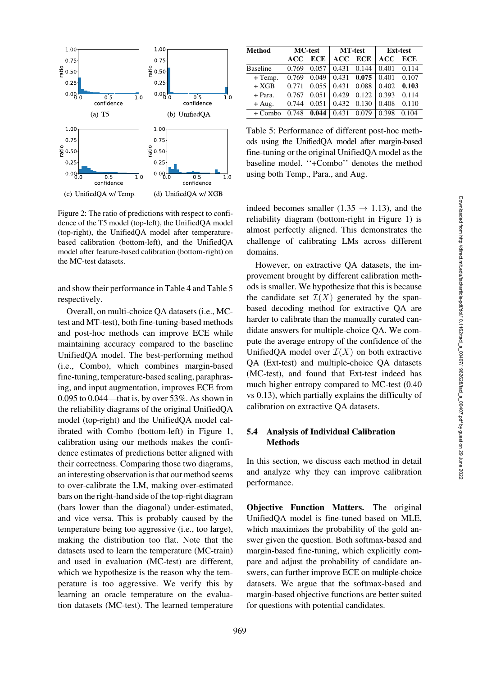

<span id="page-7-0"></span>Figure 2: The ratio of predictions with respect to confidence of the T5 model (top-left), the UnifiedQA model (top-right), the UnifiedQA model after temperaturebased calibration (bottom-left), and the UnifiedQA model after feature-based calibration (bottom-right) on the MC-test datasets.

and show their performance in [Table 4](#page-6-1) and [Table 5](#page-7-1) respectively.

Overall, on multi-choice QA datasets (i.e., MCtest and MT-test), both fine-tuning-based methods and post-hoc methods can improve ECE while maintaining accuracy compared to the baseline UnifiedQA model. The best-performing method (i.e., Combo), which combines margin-based fine-tuning, temperature-based scaling, paraphrasing, and input augmentation, improves ECE from 0.095 to 0.044—that is, by over 53%. As shown in the reliability diagrams of the original UnifiedQA model (top-right) and the UnifiedQA model calibrated with Combo (bottom-left) in [Figure 1,](#page-3-0) calibration using our methods makes the confidence estimates of predictions better aligned with their correctness. Comparing those two diagrams, an interesting observation is that our method seems to over-calibrate the LM, making over-estimated bars on the right-hand side of the top-right diagram (bars lower than the diagonal) under-estimated, and vice versa. This is probably caused by the temperature being too aggressive (i.e., too large), making the distribution too flat. Note that the datasets used to learn the temperature (MC-train) and used in evaluation (MC-test) are different, which we hypothesize is the reason why the temperature is too aggressive. We verify this by learning an oracle temperature on the evaluation datasets (MC-test). The learned temperature

| Method          | <b>MC-test</b> |            | <b>MT-test</b> |            | <b>Ext-test</b> |            |
|-----------------|----------------|------------|----------------|------------|-----------------|------------|
|                 | ACC            | <b>ECE</b> | ACC            | <b>ECE</b> | ACC             | <b>ECE</b> |
| <b>Baseline</b> | 0.769          | 0.057      | 0.431          | 0.144      | 0.401           | 0.114      |
| $+$ Temp.       | 0.769          | 0.049      | 0.431          | 0.075      | 0.401           | 0.107      |
| $+ XGB$         | 0.771          | 0.055      | 0.431          | 0.088      | 0.402           | 0.103      |
| + Para.         | 0.767          | 0.051      | 0.429          | 0.122      | 0.393           | 0.114      |
| $+ Aug.$        | 0.744          | 0.051      | 0.432          | 0.130      | 0.408           | 0.110      |
| $+$ Combo       | 0.748          | 0.044      | 0.431          | 0.079      | 0.398           | 0.104      |

<span id="page-7-1"></span>Table 5: Performance of different post-hoc methods using the UnifiedQA model after margin-based fine-tuning or the original UnifiedQA model as the baseline model. ''+Combo'' denotes the method using both Temp., Para., and Aug.

indeed becomes smaller (1.35  $\rightarrow$  1.13), and the reliability diagram (bottom-right in [Figure 1\)](#page-3-0) is almost perfectly aligned. This demonstrates the challenge of calibrating LMs across different domains.

However, on extractive QA datasets, the improvement brought by different calibration methods is smaller. We hypothesize that this is because the candidate set  $\mathcal{I}(X)$  generated by the spanbased decoding method for extractive QA are harder to calibrate than the manually curated candidate answers for multiple-choice QA. We compute the average entropy of the confidence of the UnifiedQA model over  $\mathcal{I}(X)$  on both extractive QA (Ext-test) and multiple-choice QA datasets (MC-test), and found that Ext-test indeed has much higher entropy compared to MC-test (0.40 vs 0.13), which partially explains the difficulty of calibration on extractive QA datasets.

# 5.4 Analysis of Individual Calibration **Methods**

In this section, we discuss each method in detail and analyze why they can improve calibration performance.

Objective Function Matters. The original UnifiedQA model is fine-tuned based on MLE, which maximizes the probability of the gold answer given the question. Both softmax-based and margin-based fine-tuning, which explicitly compare and adjust the probability of candidate answers, can further improve ECE on multiple-choice datasets. We argue that the softmax-based and margin-based objective functions are better suited for questions with potential candidates.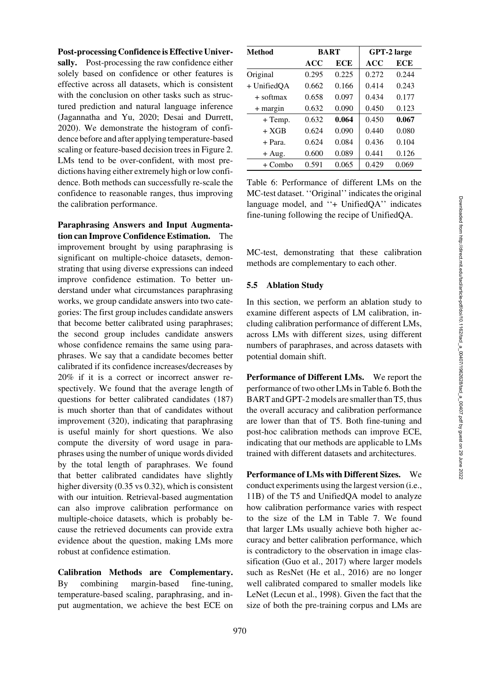#### Post-processing Confidence is Effective Univer-

sally. Post-processing the raw confidence either solely based on confidence or other features is effective across all datasets, which is consistent with the conclusion on other tasks such as structured prediction and natural language inference [\(Jagannatha and Yu, 2020](#page-12-4); [Desai and Durrett,](#page-11-2) [2020](#page-11-2)). We demonstrate the histogram of confidence before and after applying temperature-based scaling or feature-based decision trees in [Figure 2.](#page-7-0) LMs tend to be over-confident, with most predictions having either extremely high or low confidence. Both methods can successfully re-scale the confidence to reasonable ranges, thus improving the calibration performance.

Paraphrasing Answers and Input Augmentation can Improve Confidence Estimation. The improvement brought by using paraphrasing is significant on multiple-choice datasets, demonstrating that using diverse expressions can indeed improve confidence estimation. To better understand under what circumstances paraphrasing works, we group candidate answers into two categories: The first group includes candidate answers that become better calibrated using paraphrases; the second group includes candidate answers whose confidence remains the same using paraphrases. We say that a candidate becomes better calibrated if its confidence increases/decreases by 20% if it is a correct or incorrect answer respectively. We found that the average length of questions for better calibrated candidates (187) is much shorter than that of candidates without improvement (320), indicating that paraphrasing is useful mainly for short questions. We also compute the diversity of word usage in paraphrases using the number of unique words divided by the total length of paraphrases. We found that better calibrated candidates have slightly higher diversity (0.35 vs 0.32), which is consistent with our intuition. Retrieval-based augmentation can also improve calibration performance on multiple-choice datasets, which is probably because the retrieved documents can provide extra evidence about the question, making LMs more robust at confidence estimation.

Calibration Methods are Complementary. By combining margin-based fine-tuning, temperature-based scaling, paraphrasing, and input augmentation, we achieve the best ECE on

| Method      |       | <b>BART</b> | GPT-2 large |       |  |
|-------------|-------|-------------|-------------|-------|--|
|             | ACC   | ECE         | ACC         | ECE   |  |
| Original    | 0.295 | 0.225       | 0.272       | 0.244 |  |
| + UnifiedQA | 0.662 | 0.166       | 0.414       | 0.243 |  |
| + softmax   | 0.658 | 0.097       | 0.434       | 0.177 |  |
| $+$ margin  | 0.632 | 0.090       | 0.450       | 0.123 |  |
| $+$ Temp.   | 0.632 | 0.064       | 0.450       | 0.067 |  |
| $+ XGB$     | 0.624 | 0.090       | 0.440       | 0.080 |  |
| $+$ Para.   | 0.624 | 0.084       | 0.436       | 0.104 |  |
| $+ Aug.$    | 0.600 | 0.089       | 0.441       | 0.126 |  |
| $+$ Combo   | 0.591 | 0.065       | 0.429       | 0.069 |  |

<span id="page-8-2"></span>Table 6: Performance of different LMs on the MC-test dataset. ''Original'' indicates the original language model, and ''+ UnifiedQA'' indicates fine-tuning following the recipe of UnifiedQA.

MC-test, demonstrating that these calibration methods are complementary to each other.

#### <span id="page-8-0"></span>5.5 Ablation Study

In this section, we perform an ablation study to examine different aspects of LM calibration, including calibration performance of different LMs, across LMs with different sizes, using different numbers of paraphrases, and across datasets with potential domain shift.

<span id="page-8-1"></span>Performance of Different LMs. We report the performance of two other LMs in [Table 6.](#page-8-2) Both the BART and GPT-2 models are smaller than T5, thus the overall accuracy and calibration performance are lower than that of T5. Both fine-tuning and post-hoc calibration methods can improve ECE, indicating that our methods are applicable to LMs trained with different datasets and architectures.

Performance of LMs with Different Sizes. We conduct experiments using the largest version (i.e., 11B) of the T5 and UnifiedQA model to analyze how calibration performance varies with respect to the size of the LM in [Table 7.](#page-9-0) We found that larger LMs usually achieve both higher accuracy and better calibration performance, which is contradictory to the observation in image classification [\(Guo et al.](#page-11-6), [2017\)](#page-11-6) where larger models such as ResNet [\(He et al., 2016\)](#page-11-11) are no longer well calibrated compared to smaller models like LeNet [\(Lecun et al.](#page-13-11), [1998\)](#page-13-11). Given the fact that the size of both the pre-training corpus and LMs are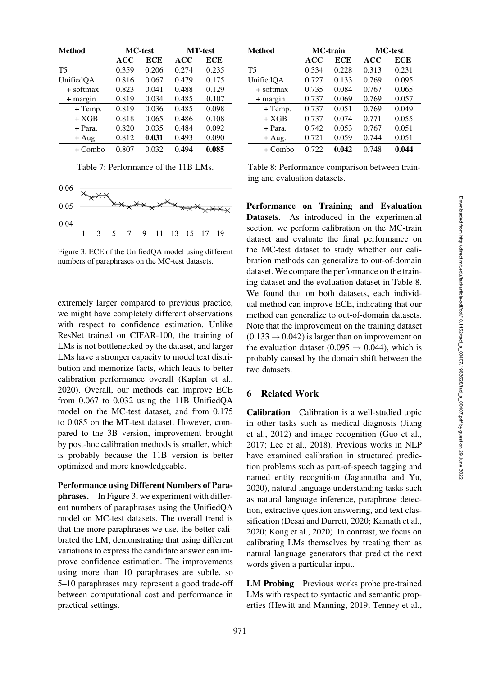| <b>Method</b> |       | <b>MC-test</b> | <b>MT-test</b> |       |  |
|---------------|-------|----------------|----------------|-------|--|
|               | ACC   | <b>ECE</b>     | ACC            | ECE   |  |
| <b>T5</b>     | 0.359 | 0.206          | 0.274          | 0.235 |  |
| UnifiedOA     | 0.816 | 0.067          | 0.479          | 0.175 |  |
| $+$ softmax   | 0.823 | 0.041          | 0.488          | 0.129 |  |
| $+$ margin    | 0.819 | 0.034          | 0.485          | 0.107 |  |
| $+$ Temp.     | 0.819 | 0.036          | 0.485          | 0.098 |  |
| $+ XGB$       | 0.818 | 0.065          | 0.486          | 0.108 |  |
| $+$ Para.     | 0.820 | 0.035          | 0.484          | 0.092 |  |
| $+ Aug.$      | 0.812 | 0.031          | 0.493          | 0.090 |  |
| $+$ Combo     | 0.807 | 0.032          | 0.494          | 0.085 |  |

<span id="page-9-0"></span>Table 7: Performance of the 11B LMs.



<span id="page-9-1"></span>Figure 3: ECE of the UnifiedQA model using different numbers of paraphrases on the MC-test datasets.

extremely larger compared to previous practice, we might have completely different observations with respect to confidence estimation. Unlike ResNet trained on CIFAR-100, the training of LMs is not bottlenecked by the dataset, and larger LMs have a stronger capacity to model text distribution and memorize facts, which leads to better calibration performance overall [\(Kaplan et al.,](#page-12-10) [2020](#page-12-10)). Overall, our methods can improve ECE from 0.067 to 0.032 using the 11B UnifiedQA model on the MC-test dataset, and from 0.175 to 0.085 on the MT-test dataset. However, compared to the 3B version, improvement brought by post-hoc calibration methods is smaller, which is probably because the 11B version is better optimized and more knowledgeable.

Performance using Different Numbers of Paraphrases. In [Figure 3,](#page-9-1) we experiment with different numbers of paraphrases using the UnifiedQA model on MC-test datasets. The overall trend is that the more paraphrases we use, the better calibrated the LM, demonstrating that using different variations to express the candidate answer can improve confidence estimation. The improvements using more than 10 paraphrases are subtle, so 5–10 paraphrases may represent a good trade-off between computational cost and performance in practical settings.

| Method     |       | <b>MC-train</b> | <b>MC-test</b> |       |  |
|------------|-------|-----------------|----------------|-------|--|
|            | ACC   | ECE             | ACC            | ECE   |  |
| Т5         | 0.334 | 0.228           | 0.313          | 0.231 |  |
| UnifiedQA  | 0.727 | 0.133           | 0.769          | 0.095 |  |
| + softmax  | 0.735 | 0.084           | 0.767          | 0.065 |  |
| $+$ margin | 0.737 | 0.069           | 0.769          | 0.057 |  |
| + Temp.    | 0.737 | 0.051           | 0.769          | 0.049 |  |
| $+ XGB$    | 0.737 | 0.074           | 0.771          | 0.055 |  |
| + Para.    | 0.742 | 0.053           | 0.767          | 0.051 |  |
| $+ Aug.$   | 0.721 | 0.059           | 0.744          | 0.051 |  |
| + Combo    | 0.722 | 0.042           | 0.748          | 0.044 |  |

<span id="page-9-2"></span>Table 8: Performance comparison between training and evaluation datasets.

Performance on Training and Evaluation Datasets. As introduced in the experimental section, we perform calibration on the MC-train dataset and evaluate the final performance on the MC-test dataset to study whether our calibration methods can generalize to out-of-domain dataset. We compare the performance on the training dataset and the evaluation dataset in [Table 8.](#page-9-2) We found that on both datasets, each individual method can improve ECE, indicating that our method can generalize to out-of-domain datasets. Note that the improvement on the training dataset  $(0.133 \rightarrow 0.042)$  is larger than on improvement on the evaluation dataset (0.095  $\rightarrow$  0.044), which is probably caused by the domain shift between the two datasets.

# 6 Related Work

Calibration Calibration is a well-studied topic in ot[her](#page-12-11) [tasks](#page-12-11) [such](#page-12-11) [as](#page-12-11) [medical](#page-12-11) [diagnosis](#page-12-11) [\(](#page-12-11)Jiang et al., [2012](#page-12-11)) and image recognition [\(Guo et al.,](#page-11-6) [2017](#page-11-6); [Lee et al., 2018](#page-13-12)). Previous works in NLP have examined calibration in structured prediction problems such as part-of-speech tagging and named entity recognition [\(Jagannatha and Yu,](#page-12-4) [2020](#page-12-4)), natural language understanding tasks such as natural language inference, paraphrase detection, extractive question answering, and text classification [\(Desai and Durrett, 2020](#page-11-2); [Kamath et al.,](#page-12-5) [2020](#page-12-5); [Kong et al., 2020](#page-12-6)). In contrast, we focus on calibrating LMs themselves by treating them as natural language generators that predict the next words given a particular input.

LM Probing Previous works probe pre-trained LMs with respect to syntactic and semantic properties [\(Hewitt and Manning](#page-12-12), [2019](#page-12-12); [Tenney et al.,](#page-15-6)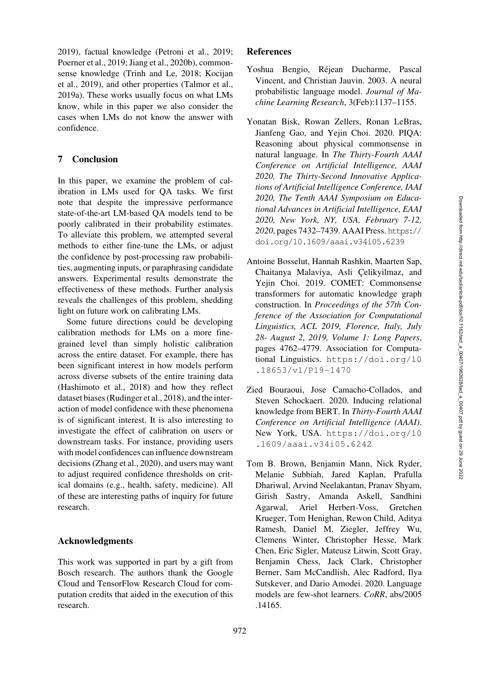[2019](#page-15-6)), factual knowledge [\(Petroni et al., 2019](#page-13-0); [Poerner et al.](#page-14-4), [2019;](#page-14-4) [Jiang et al.](#page-12-0), [2020b\)](#page-12-0), commonsense knowledge [\(Trinh and Le](#page-15-0), [2018;](#page-15-0) Kocijan et al., [2019\)](#page-12-1), and other properties [\(Talmor et al.,](#page-14-2) [2019a\)](#page-14-2). These works usually focus on what LMs know, while in this paper we also consider the cases when LMs do not know the answer with confidence.

# 7 Conclusion

In this paper, we examine the problem of calibration in LMs used for QA tasks. We first note that despite the impressive performance state-of-the-art LM-based QA models tend to be poorly calibrated in their probability estimates. To alleviate this problem, we attempted several methods to either fine-tune the LMs, or adjust the confidence by post-processing raw probabilities, augmenting inputs, or paraphrasing candidate answers. Experimental results demonstrate the effectiveness of these methods. Further analysis reveals the challenges of this problem, shedding light on future work on calibrating LMs.

Some future directions could be developing calibration methods for LMs on a more finegrained level than simply holistic calibration across the entire dataset. For example, there has been significant interest in how models perform across diverse subsets of the entire training data [\(Hashimoto et al.](#page-11-12), [2018](#page-11-12)) and how they reflect dataset biases [\(Rudinger et al.](#page-14-12), [2018\)](#page-14-12), and the interaction of model confidence with these phenomena is of significant interest. It is also interesting to investigate the effect of calibration on users or downstream tasks. For instance, providing users with model confidences can influence downstream decisions [\(Zhang et al., 2020\)](#page-15-7), and users may want to adjust required confidence thresholds on critical domains (e.g., health, safety, medicine). All of these are interesting paths of inquiry for future research.

# Acknowledgments

This work was supported in part by a gift from Bosch research. The authors thank the Google Cloud and TensorFlow Research Cloud for computation credits that aided in the execution of this research.

# **References**

- <span id="page-10-0"></span>Yoshua Bengio, Rejean Ducharme, Pascal ´ Vincent, and Christian Jauvin. 2003. A neural probabilistic language model. *Journal of Machine Learning Research*, 3(Feb):1137–1155.
- <span id="page-10-4"></span>Yonatan Bisk, Rowan Zellers, Ronan LeBras, Jianfeng Gao, and Yejin Choi. 2020. PIQA: Reasoning about physical commonsense in natural language. In *The Thirty-Fourth AAAI Conference on Artificial Intelligence, AAAI 2020, The Thirty-Second Innovative Applications of Artificial Intelligence Conference, IAAI 2020, The Tenth AAAI Symposium on Educational Advances in Artificial Intelligence, EAAI 2020, New York, NY, USA, February 7-12, 2020*, pages 7432–7439. AAAI Press. [https://](https://doi.org/10.1609/aaai.v34i05.6239) [doi.org/10.1609/aaai.v34i05.6239](https://doi.org/10.1609/aaai.v34i05.6239)
- <span id="page-10-2"></span>Antoine Bosselut, Hannah Rashkin, Maarten Sap, Chaitanya Malaviya, Asli Celikyilmaz, and Yejin Choi. 2019. COMET: Commonsense transformers for automatic knowledge graph construction. In *Proceedings of the 57th Conference of the Association for Computational Linguistics, ACL 2019, Florence, Italy, July 28- August 2, 2019, Volume 1: Long Papers*, pages 4762–4779. Association for Computational Linguistics. [https://doi.org/10](https://doi.org/10.18653/v1/P19-1470) [.18653/v1/P19-1470](https://doi.org/10.18653/v1/P19-1470)
- <span id="page-10-1"></span>Zied Bouraoui, Jose Camacho-Collados, and Steven Schockaert. 2020. Inducing relational knowledge from BERT. In *Thirty-Fourth AAAI Conference on Artificial Intelligence (AAAI)*. New York, USA. [https://doi.org/10](https://doi.org/10.1609/aaai.v34i05.6242) [.1609/aaai.v34i05.6242](https://doi.org/10.1609/aaai.v34i05.6242)
- <span id="page-10-3"></span>Tom B. Brown, Benjamin Mann, Nick Ryder, Melanie Subbiah, Jared Kaplan, Prafulla Dhariwal, Arvind Neelakantan, Pranav Shyam, Girish Sastry, Amanda Askell, Sandhini Agarwal, Ariel Herbert-Voss, Gretchen Krueger, Tom Henighan, Rewon Child, Aditya Ramesh, Daniel M. Ziegler, Jeffrey Wu, Clemens Winter, Christopher Hesse, Mark Chen, Eric Sigler, Mateusz Litwin, Scott Gray, Benjamin Chess, Jack Clark, Christopher Berner, Sam McCandlish, Alec Radford, Ilya Sutskever, and Dario Amodei. 2020. Language models are few-shot learners. *CoRR*, abs/2005 .14165.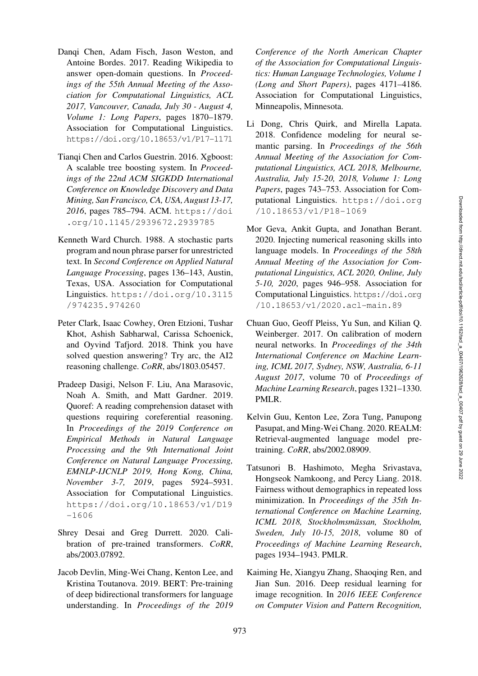- <span id="page-11-10"></span>Danqi Chen, Adam Fisch, Jason Weston, and Antoine Bordes. 2017. Reading Wikipedia to answer open-domain questions. In *Proceedings of the 55th Annual Meeting of the Association for Computational Linguistics, ACL 2017, Vancouver, Canada, July 30 - August 4, Volume 1: Long Papers*, pages 1870–1879. Association for Computational Linguistics. <https://doi.org/10.18653/v1/P17-1171>
- <span id="page-11-9"></span>Tianqi Chen and Carlos Guestrin. 2016. Xgboost: A scalable tree boosting system. In *Proceedings of the 22nd ACM SIGKDD International Conference on Knowledge Discovery and Data Mining, San Francisco, CA, USA, August 13-17, 2016*, pages 785–794. ACM. [https://doi](https://doi.org/10.1145/2939672.2939785) [.org/10.1145/2939672.2939785](https://doi.org/10.1145/2939672.2939785)
- <span id="page-11-0"></span>Kenneth Ward Church. 1988. A stochastic parts program and noun phrase parser for unrestricted text. In *Second Conference on Applied Natural Language Processing*, pages 136–143, Austin, Texas, USA. Association for Computational Linguistics. [https://doi.org/10.3115](https://doi.org/10.3115/974235.974260) [/974235.974260](https://doi.org/10.3115/974235.974260)
- <span id="page-11-4"></span>Peter Clark, Isaac Cowhey, Oren Etzioni, Tushar Khot, Ashish Sabharwal, Carissa Schoenick, and Oyvind Tafjord. 2018. Think you have solved question answering? Try arc, the AI2 reasoning challenge. *CoRR*, abs/1803.05457.
- <span id="page-11-5"></span>Pradeep Dasigi, Nelson F. Liu, Ana Marasovic, Noah A. Smith, and Matt Gardner. 2019. Quoref: A reading comprehension dataset with questions requiring coreferential reasoning. In *Proceedings of the 2019 Conference on Empirical Methods in Natural Language Processing and the 9th International Joint Conference on Natural Language Processing, EMNLP-IJCNLP 2019, Hong Kong, China, November 3-7, 2019*, pages 5924–5931. Association for Computational Linguistics. [https://doi.org/10.18653/v1/D19](https://doi.org/10.18653/v1/D19-1606) [-1606](https://doi.org/10.18653/v1/D19-1606)
- <span id="page-11-2"></span>Shrey Desai and Greg Durrett. 2020. Calibration of pre-trained transformers. *CoRR*, abs/2003.07892.
- <span id="page-11-3"></span>Jacob Devlin, Ming-Wei Chang, Kenton Lee, and Kristina Toutanova. 2019. BERT: Pre-training of deep bidirectional transformers for language understanding. In *Proceedings of the 2019*

*Conference of the North American Chapter of the Association for Computational Linguistics: Human Language Technologies, Volume 1 (Long and Short Papers)*, pages 4171–4186. Association for Computational Linguistics, Minneapolis, Minnesota.

- <span id="page-11-8"></span>Li Dong, Chris Quirk, and Mirella Lapata. 2018. Confidence modeling for neural semantic parsing. In *Proceedings of the 56th Annual Meeting of the Association for Computational Linguistics, ACL 2018, Melbourne, Australia, July 15-20, 2018, Volume 1: Long Papers*, pages 743–753. Association for Computational Linguistics. [https://doi.org](https://doi.org/10.18653/v1/P18-1069) [/10.18653/v1/P18-1069](https://doi.org/10.18653/v1/P18-1069)
- <span id="page-11-1"></span>Mor Geva, Ankit Gupta, and Jonathan Berant. 2020. Injecting numerical reasoning skills into language models. In *Proceedings of the 58th Annual Meeting of the Association for Computational Linguistics, ACL 2020, Online, July 5-10, 2020*, pages 946–958. Association for Computational Linguistics. [https://doi.org](https://doi.org/10.18653/v1/2020.acl-main.89) [/10.18653/v1/2020.acl-main.89](https://doi.org/10.18653/v1/2020.acl-main.89)
- <span id="page-11-6"></span>Chuan Guo, Geoff Pleiss, Yu Sun, and Kilian Q. Weinberger. 2017. On calibration of modern neural networks. In *Proceedings of the 34th International Conference on Machine Learning, ICML 2017, Sydney, NSW, Australia, 6-11 August 2017*, volume 70 of *Proceedings of Machine Learning Research*, pages 1321–1330. PMLR.
- <span id="page-11-7"></span>Kelvin Guu, Kenton Lee, Zora Tung, Panupong Pasupat, and Ming-Wei Chang. 2020. REALM: Retrieval-augmented language model pretraining. *CoRR*, abs/2002.08909.
- <span id="page-11-12"></span>Tatsunori B. Hashimoto, Megha Srivastava, Hongseok Namkoong, and Percy Liang. 2018. Fairness without demographics in repeated loss minimization. In *Proceedings of the 35th International Conference on Machine Learning, ICML 2018, Stockholmsmassan, Stockholm, ¨ Sweden, July 10-15, 2018*, volume 80 of *Proceedings of Machine Learning Research*, pages 1934–1943. PMLR.
- <span id="page-11-11"></span>Kaiming He, Xiangyu Zhang, Shaoqing Ren, and Jian Sun. 2016. Deep residual learning for image recognition. In *2016 IEEE Conference on Computer Vision and Pattern Recognition,*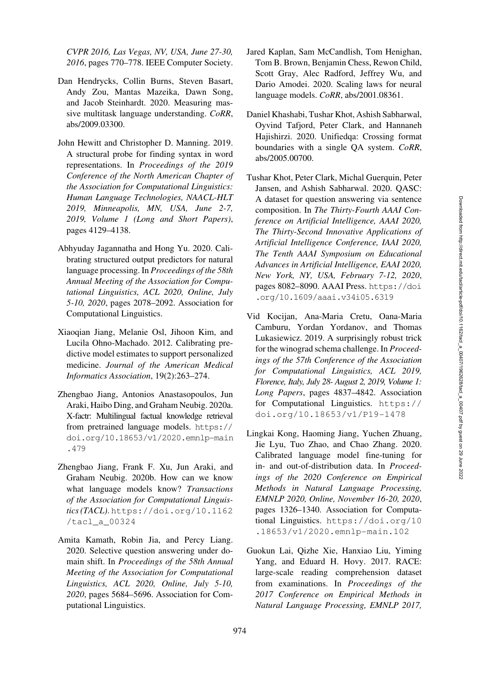*CVPR 2016, Las Vegas, NV, USA, June 27-30, 2016*, pages 770–778. IEEE Computer Society.

- <span id="page-12-9"></span>Dan Hendrycks, Collin Burns, Steven Basart, Andy Zou, Mantas Mazeika, Dawn Song, and Jacob Steinhardt. 2020. Measuring massive multitask language understanding. *CoRR*, abs/2009.03300.
- <span id="page-12-12"></span>John Hewitt and Christopher D. Manning. 2019. A structural probe for finding syntax in word representations. In *Proceedings of the 2019 Conference of the North American Chapter of the Association for Computational Linguistics: Human Language Technologies, NAACL-HLT 2019, Minneapolis, MN, USA, June 2-7, 2019, Volume 1 (Long and Short Papers)*, pages 4129–4138.
- <span id="page-12-4"></span>Abhyuday Jagannatha and Hong Yu. 2020. Calibrating structured output predictors for natural language processing. In *Proceedings of the 58th Annual Meeting of the Association for Computational Linguistics, ACL 2020, Online, July 5-10, 2020*, pages 2078–2092. Association for Computational Linguistics.
- <span id="page-12-11"></span>Xiaoqian Jiang, Melanie Osl, Jihoon Kim, and Lucila Ohno-Machado. 2012. Calibrating predictive model estimates to support personalized medicine. *Journal of the American Medical Informatics Association*, 19(2):263–274.
- <span id="page-12-2"></span>Zhengbao Jiang, Antonios Anastasopoulos, Jun Araki, Haibo Ding, and Graham Neubig. 2020a. X-factr: Multilingual factual knowledge retrieval from pretrained language models. [https://](https://doi.org/10.18653/v1/2020.emnlp-main.479) [doi.org/10.18653/v1/2020.emnlp-main](https://doi.org/10.18653/v1/2020.emnlp-main.479) [.479](https://doi.org/10.18653/v1/2020.emnlp-main.479)
- <span id="page-12-0"></span>Zhengbao Jiang, Frank F. Xu, Jun Araki, and Graham Neubig. 2020b. How can we know what language models know? *Transactions of the Association for Computational Linguistics (TACL)*. [https://doi.org/10.1162](https://doi.org/10.1162/tacl_a_00324) [/tacl\\_a\\_00324](https://doi.org/10.1162/tacl_a_00324)
- <span id="page-12-5"></span>Amita Kamath, Robin Jia, and Percy Liang. 2020. Selective question answering under domain shift. In *Proceedings of the 58th Annual Meeting of the Association for Computational Linguistics, ACL 2020, Online, July 5-10, 2020*, pages 5684–5696. Association for Computational Linguistics.
- <span id="page-12-10"></span>Jared Kaplan, Sam McCandlish, Tom Henighan, Tom B. Brown, Benjamin Chess, Rewon Child, Scott Gray, Alec Radford, Jeffrey Wu, and Dario Amodei. 2020. Scaling laws for neural language models. *CoRR*, abs/2001.08361.
- <span id="page-12-3"></span>Daniel Khashabi, Tushar Khot, Ashish Sabharwal, Oyvind Tafjord, Peter Clark, and Hannaneh Hajishirzi. 2020. Unifiedqa: Crossing format boundaries with a single QA system. *CoRR*, abs/2005.00700.
- <span id="page-12-8"></span>Tushar Khot, Peter Clark, Michal Guerquin, Peter Jansen, and Ashish Sabharwal. 2020. QASC: A dataset for question answering via sentence composition. In *The Thirty-Fourth AAAI Conference on Artificial Intelligence, AAAI 2020, The Thirty-Second Innovative Applications of Artificial Intelligence Conference, IAAI 2020, The Tenth AAAI Symposium on Educational Advances in Artificial Intelligence, EAAI 2020, New York, NY, USA, February 7-12, 2020*, pages 8082–8090. AAAI Press. [https://doi](https://doi.org/10.1609/aaai.v34i05.6319) [.org/10.1609/aaai.v34i05.6319](https://doi.org/10.1609/aaai.v34i05.6319)
- <span id="page-12-1"></span>Vid Kocijan, Ana-Maria Cretu, Oana-Maria Camburu, Yordan Yordanov, and Thomas Lukasiewicz. 2019. A surprisingly robust trick for the winograd schema challenge. In *Proceedings of the 57th Conference of the Association for Computational Linguistics, ACL 2019, Florence, Italy, July 28- August 2, 2019, Volume 1: Long Papers*, pages 4837–4842. Association for Computational Linguistics. [https://](https://doi.org/10.18653/v1/P19-1478) [doi.org/10.18653/v1/P19-1478](https://doi.org/10.18653/v1/P19-1478)
- <span id="page-12-6"></span>Lingkai Kong, Haoming Jiang, Yuchen Zhuang, Jie Lyu, Tuo Zhao, and Chao Zhang. 2020. Calibrated language model fine-tuning for in- and out-of-distribution data. In *Proceedings of the 2020 Conference on Empirical Methods in Natural Language Processing, EMNLP 2020, Online, November 16-20, 2020*, pages 1326–1340. Association for Computational Linguistics. [https://doi.org/10](https://doi.org/10.18653/v1/2020.emnlp-main.102) [.18653/v1/2020.emnlp-main.102](https://doi.org/10.18653/v1/2020.emnlp-main.102)
- <span id="page-12-7"></span>Guokun Lai, Qizhe Xie, Hanxiao Liu, Yiming Yang, and Eduard H. Hovy. 2017. RACE: large-scale reading comprehension dataset from examinations. In *Proceedings of the 2017 Conference on Empirical Methods in Natural Language Processing, EMNLP 2017,*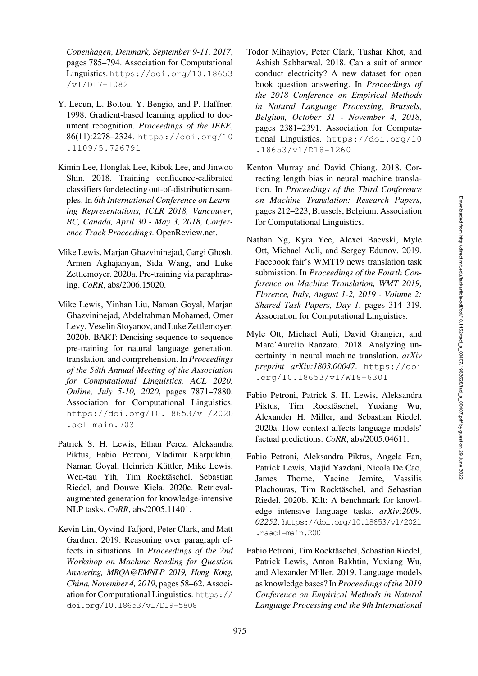*Copenhagen, Denmark, September 9-11, 2017*, pages 785–794. Association for Computational Linguistics. [https://doi.org/10.18653](https://doi.org/10.18653/v1/D17-1082) [/v1/D17-1082](https://doi.org/10.18653/v1/D17-1082)

- <span id="page-13-11"></span>Y. Lecun, L. Bottou, Y. Bengio, and P. Haffner. 1998. Gradient-based learning applied to document recognition. *Proceedings of the IEEE*, 86(11):2278–2324. [https://doi.org/10](https://doi.org/10.1109/5.726791) [.1109/5.726791](https://doi.org/10.1109/5.726791)
- <span id="page-13-12"></span>Kimin Lee, Honglak Lee, Kibok Lee, and Jinwoo Shin. 2018. Training confidence-calibrated classifiers for detecting out-of-distribution samples. In *6th International Conference on Learning Representations, ICLR 2018, Vancouver, BC, Canada, April 30 - May 3, 2018, Conference Track Proceedings*. OpenReview.net.
- <span id="page-13-7"></span>Mike Lewis, Marjan Ghazvininejad, Gargi Ghosh, Armen Aghajanyan, Sida Wang, and Luke Zettlemoyer. 2020a. Pre-training via paraphrasing. *CoRR*, abs/2006.15020.
- <span id="page-13-8"></span>Mike Lewis, Yinhan Liu, Naman Goyal, Marjan Ghazvininejad, Abdelrahman Mohamed, Omer Levy, Veselin Stoyanov, and Luke Zettlemoyer. 2020b. BART: Denoising sequence-to-sequence pre-training for natural language generation, translation, and comprehension. In *Proceedings of the 58th Annual Meeting of the Association for Computational Linguistics, ACL 2020, Online, July 5-10, 2020*, pages 7871–7880. Association for Computational Linguistics. [https://doi.org/10.18653/v1/2020](https://doi.org/10.18653/v1/2020.acl-main.703) [.acl-main.703](https://doi.org/10.18653/v1/2020.acl-main.703)
- <span id="page-13-3"></span>Patrick S. H. Lewis, Ethan Perez, Aleksandra Piktus, Fabio Petroni, Vladimir Karpukhin, Naman Goyal, Heinrich Küttler, Mike Lewis, Wen-tau Yih, Tim Rocktäschel, Sebastian Riedel, and Douwe Kiela. 2020c. Retrievalaugmented generation for knowledge-intensive NLP tasks. *CoRR*, abs/2005.11401.
- <span id="page-13-2"></span>Kevin Lin, Oyvind Tafjord, Peter Clark, and Matt Gardner. 2019. Reasoning over paragraph effects in situations. In *Proceedings of the 2nd Workshop on Machine Reading for Question Answering, MRQA@EMNLP 2019, Hong Kong, China, November 4, 2019*, pages 58–62. Association for Computational Linguistics. [https://](https://doi.org/10.18653/v1/D19-5808) [doi.org/10.18653/v1/D19-5808](https://doi.org/10.18653/v1/D19-5808)
- <span id="page-13-1"></span>Todor Mihaylov, Peter Clark, Tushar Khot, and Ashish Sabharwal. 2018. Can a suit of armor conduct electricity? A new dataset for open book question answering. In *Proceedings of the 2018 Conference on Empirical Methods in Natural Language Processing, Brussels, Belgium, October 31 - November 4, 2018*, pages 2381–2391. Association for Computational Linguistics. [https://doi.org/10](https://doi.org/10.18653/v1/D18-1260) [.18653/v1/D18-1260](https://doi.org/10.18653/v1/D18-1260)
- <span id="page-13-4"></span>Kenton Murray and David Chiang. 2018. Correcting length bias in neural machine translation. In *Proceedings of the Third Conference on Machine Translation: Research Papers*, pages 212–223, Brussels, Belgium. Association for Computational Linguistics.
- <span id="page-13-9"></span>Nathan Ng, Kyra Yee, Alexei Baevski, Myle Ott, Michael Auli, and Sergey Edunov. 2019. Facebook fair's WMT19 news translation task submission. In *Proceedings of the Fourth Conference on Machine Translation, WMT 2019, Florence, Italy, August 1-2, 2019 - Volume 2: Shared Task Papers, Day 1*, pages 314–319. Association for Computational Linguistics.
- <span id="page-13-5"></span>Myle Ott, Michael Auli, David Grangier, and Marc'Aurelio Ranzato. 2018. Analyzing uncertainty in neural machine translation. *arXiv preprint arXiv:1803.00047*. [https://doi](https://doi.org/10.18653/v1/W18-6301) [.org/10.18653/v1/W18-6301](https://doi.org/10.18653/v1/W18-6301)
- <span id="page-13-6"></span>Fabio Petroni, Patrick S. H. Lewis, Aleksandra Piktus, Tim Rocktäschel, Yuxiang Wu, Alexander H. Miller, and Sebastian Riedel. 2020a. How context affects language models' factual predictions. *CoRR*, abs/2005.04611.
- <span id="page-13-10"></span>Fabio Petroni, Aleksandra Piktus, Angela Fan, Patrick Lewis, Majid Yazdani, Nicola De Cao, James Thorne, Yacine Jernite, Vassilis Plachouras, Tim Rocktäschel, and Sebastian Riedel. 2020b. Kilt: A benchmark for knowledge intensive language tasks. *arXiv:2009. 02252*. [https://doi.org/10.18653/v1/2021](https://doi.org/10.18653/v1/2021.naacl-main.200) [.naacl-main.200](https://doi.org/10.18653/v1/2021.naacl-main.200)
- <span id="page-13-0"></span>Fabio Petroni, Tim Rocktäschel, Sebastian Riedel, Patrick Lewis, Anton Bakhtin, Yuxiang Wu, and Alexander Miller. 2019. Language models as knowledge bases? In *Proceedings of the 2019 Conference on Empirical Methods in Natural Language Processing and the 9th International*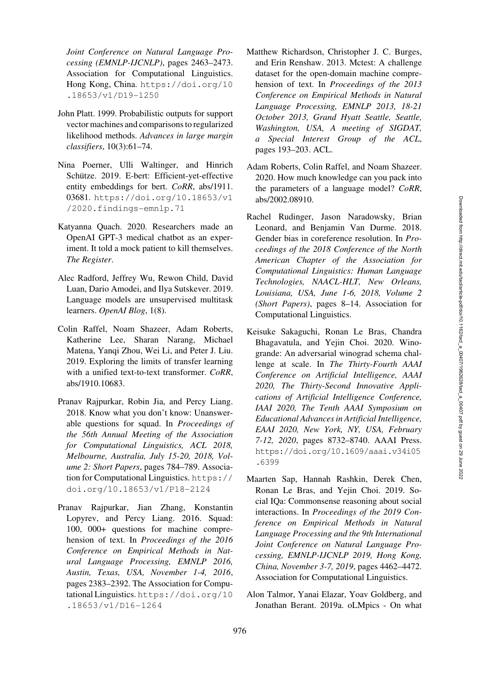*Joint Conference on Natural Language Processing (EMNLP-IJCNLP)*, pages 2463–2473. Association for Computational Linguistics. Hong Kong, China. [https://doi.org/10](https://doi.org/10.18653/v1/D19-1250) [.18653/v1/D19-1250](https://doi.org/10.18653/v1/D19-1250)

- <span id="page-14-11"></span>John Platt. 1999. Probabilistic outputs for support vector machines and comparisons to regularized likelihood methods. *Advances in large margin classifiers*, 10(3):61–74.
- <span id="page-14-4"></span>Nina Poerner, Ulli Waltinger, and Hinrich Schütze. 2019. E-bert: Efficient-yet-effective entity embeddings for bert. *CoRR*, abs/1911. 03681. [https://doi.org/10.18653/v1](https://doi.org/10.18653/v1/2020.findings-emnlp.71) [/2020.findings-emnlp.71](https://doi.org/10.18653/v1/2020.findings-emnlp.71)
- <span id="page-14-5"></span>Katyanna Quach. 2020. Researchers made an OpenAI GPT-3 medical chatbot as an experiment. It told a mock patient to kill themselves. *The Register*.
- <span id="page-14-0"></span>Alec Radford, Jeffrey Wu, Rewon Child, David Luan, Dario Amodei, and Ilya Sutskever. 2019. Language models are unsupervised multitask learners. *OpenAI Blog*, 1(8).
- <span id="page-14-3"></span>Colin Raffel, Noam Shazeer, Adam Roberts, Katherine Lee, Sharan Narang, Michael Matena, Yanqi Zhou, Wei Li, and Peter J. Liu. 2019. Exploring the limits of transfer learning with a unified text-to-text transformer. *CoRR*, abs/1910.10683.
- <span id="page-14-10"></span>Pranav Rajpurkar, Robin Jia, and Percy Liang. 2018. Know what you don't know: Unanswerable questions for squad. In *Proceedings of the 56th Annual Meeting of the Association for Computational Linguistics, ACL 2018, Melbourne, Australia, July 15-20, 2018, Volume 2: Short Papers*, pages 784–789. Association for Computational Linguistics. [https://](https://doi.org/10.18653/v1/P18-2124) [doi.org/10.18653/v1/P18-2124](https://doi.org/10.18653/v1/P18-2124)
- <span id="page-14-9"></span>Pranav Rajpurkar, Jian Zhang, Konstantin Lopyrev, and Percy Liang. 2016. Squad: 100, 000+ questions for machine comprehension of text. In *Proceedings of the 2016 Conference on Empirical Methods in Natural Language Processing, EMNLP 2016, Austin, Texas, USA, November 1-4, 2016*, pages 2383–2392. The Association for Computational Linguistics. [https://doi.org/10](https://doi.org/10.18653/v1/D16-1264) [.18653/v1/D16-1264](https://doi.org/10.18653/v1/D16-1264)
- <span id="page-14-7"></span>Matthew Richardson, Christopher J. C. Burges, and Erin Renshaw. 2013. Mctest: A challenge dataset for the open-domain machine comprehension of text. In *Proceedings of the 2013 Conference on Empirical Methods in Natural Language Processing, EMNLP 2013, 18-21 October 2013, Grand Hyatt Seattle, Seattle, Washington, USA, A meeting of SIGDAT, a Special Interest Group of the ACL*, pages 193–203. ACL.
- <span id="page-14-1"></span>Adam Roberts, Colin Raffel, and Noam Shazeer. 2020. How much knowledge can you pack into the parameters of a language model? *CoRR*, abs/2002.08910.
- <span id="page-14-12"></span>Rachel Rudinger, Jason Naradowsky, Brian Leonard, and Benjamin Van Durme. 2018. Gender bias in coreference resolution. In *Proceedings of the 2018 Conference of the North American Chapter of the Association for Computational Linguistics: Human Language Technologies, NAACL-HLT, New Orleans, Louisiana, USA, June 1-6, 2018, Volume 2 (Short Papers)*, pages 8–14. Association for Computational Linguistics.
- <span id="page-14-6"></span>Keisuke Sakaguchi, Ronan Le Bras, Chandra Bhagavatula, and Yejin Choi. 2020. Winogrande: An adversarial winograd schema challenge at scale. In *The Thirty-Fourth AAAI Conference on Artificial Intelligence, AAAI 2020, The Thirty-Second Innovative Applications of Artificial Intelligence Conference, IAAI 2020, The Tenth AAAI Symposium on Educational Advances in Artificial Intelligence, EAAI 2020, New York, NY, USA, February 7-12, 2020*, pages 8732–8740. AAAI Press. [https://doi.org/10.1609/aaai.v34i05](https://doi.org/10.1609/aaai.v34i05.6399) [.6399](https://doi.org/10.1609/aaai.v34i05.6399)
- <span id="page-14-8"></span>Maarten Sap, Hannah Rashkin, Derek Chen, Ronan Le Bras, and Yejin Choi. 2019. Social IQa: Commonsense reasoning about social interactions. In *Proceedings of the 2019 Conference on Empirical Methods in Natural Language Processing and the 9th International Joint Conference on Natural Language Processing, EMNLP-IJCNLP 2019, Hong Kong, China, November 3-7, 2019*, pages 4462–4472. Association for Computational Linguistics.
- <span id="page-14-2"></span>Alon Talmor, Yanai Elazar, Yoav Goldberg, and Jonathan Berant. 2019a. oLMpics - On what